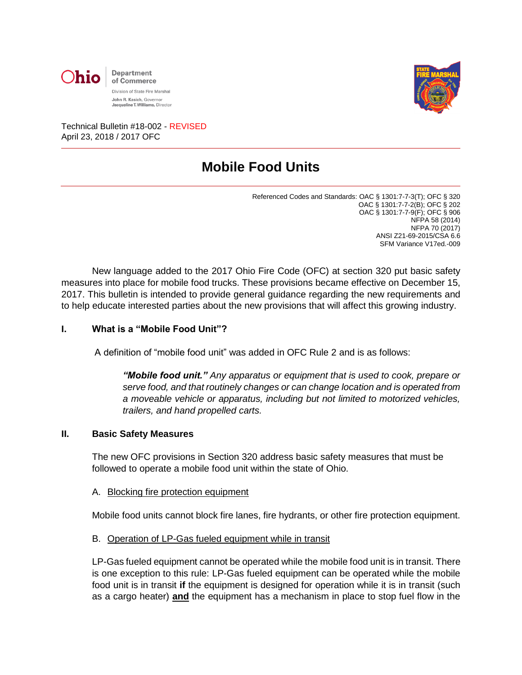



Technical Bulletin #18-002 - REVISED April 23, 2018 / 2017 OFC

# **Mobile Food Units**

Referenced Codes and Standards: OAC § 1301:7-7-3(T); OFC § 320 OAC § 1301:7-7-2(B); OFC § 202 OAC § 1301:7-7-9(F); OFC § 906 NFPA 58 (2014) NFPA 70 (2017) ANSI Z21-69-2015/CSA 6.6 SFM Variance V17ed.-009

New language added to the 2017 Ohio Fire Code (OFC) at section 320 put basic safety measures into place for mobile food trucks. These provisions became effective on December 15, 2017. This bulletin is intended to provide general guidance regarding the new requirements and to help educate interested parties about the new provisions that will affect this growing industry.

#### **I. What is a "Mobile Food Unit"?**

A definition of "mobile food unit" was added in OFC Rule 2 and is as follows:

*"Mobile food unit." Any apparatus or equipment that is used to cook, prepare or serve food, and that routinely changes or can change location and is operated from a moveable vehicle or apparatus, including but not limited to motorized vehicles, trailers, and hand propelled carts.*

#### **II. Basic Safety Measures**

The new OFC provisions in Section 320 address basic safety measures that must be followed to operate a mobile food unit within the state of Ohio.

A. Blocking fire protection equipment

Mobile food units cannot block fire lanes, fire hydrants, or other fire protection equipment.

B. Operation of LP-Gas fueled equipment while in transit

LP-Gas fueled equipment cannot be operated while the mobile food unit is in transit. There is one exception to this rule: LP-Gas fueled equipment can be operated while the mobile food unit is in transit **if** the equipment is designed for operation while it is in transit (such as a cargo heater) **and** the equipment has a mechanism in place to stop fuel flow in the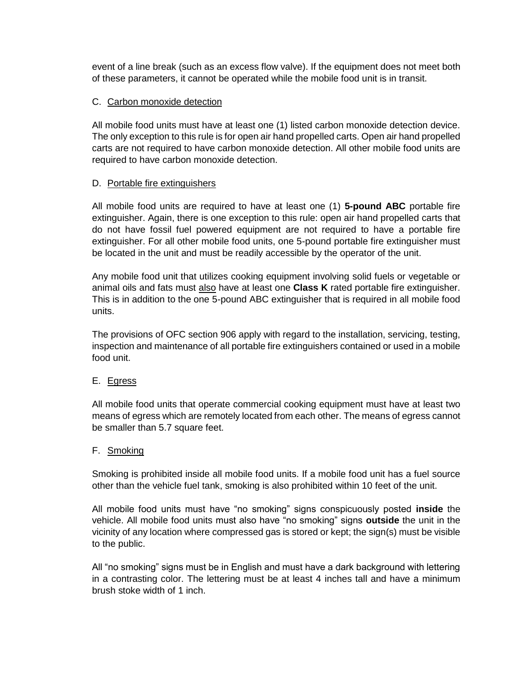event of a line break (such as an excess flow valve). If the equipment does not meet both of these parameters, it cannot be operated while the mobile food unit is in transit.

# C. Carbon monoxide detection

All mobile food units must have at least one (1) listed carbon monoxide detection device. The only exception to this rule is for open air hand propelled carts. Open air hand propelled carts are not required to have carbon monoxide detection. All other mobile food units are required to have carbon monoxide detection.

## D. Portable fire extinguishers

All mobile food units are required to have at least one (1) **5-pound ABC** portable fire extinguisher. Again, there is one exception to this rule: open air hand propelled carts that do not have fossil fuel powered equipment are not required to have a portable fire extinguisher. For all other mobile food units, one 5-pound portable fire extinguisher must be located in the unit and must be readily accessible by the operator of the unit.

Any mobile food unit that utilizes cooking equipment involving solid fuels or vegetable or animal oils and fats must also have at least one **Class K** rated portable fire extinguisher. This is in addition to the one 5-pound ABC extinguisher that is required in all mobile food units.

The provisions of OFC section 906 apply with regard to the installation, servicing, testing, inspection and maintenance of all portable fire extinguishers contained or used in a mobile food unit.

## E. Egress

All mobile food units that operate commercial cooking equipment must have at least two means of egress which are remotely located from each other. The means of egress cannot be smaller than 5.7 square feet.

## F. Smoking

Smoking is prohibited inside all mobile food units. If a mobile food unit has a fuel source other than the vehicle fuel tank, smoking is also prohibited within 10 feet of the unit.

All mobile food units must have "no smoking" signs conspicuously posted **inside** the vehicle. All mobile food units must also have "no smoking" signs **outside** the unit in the vicinity of any location where compressed gas is stored or kept; the sign(s) must be visible to the public.

All "no smoking" signs must be in English and must have a dark background with lettering in a contrasting color. The lettering must be at least 4 inches tall and have a minimum brush stoke width of 1 inch.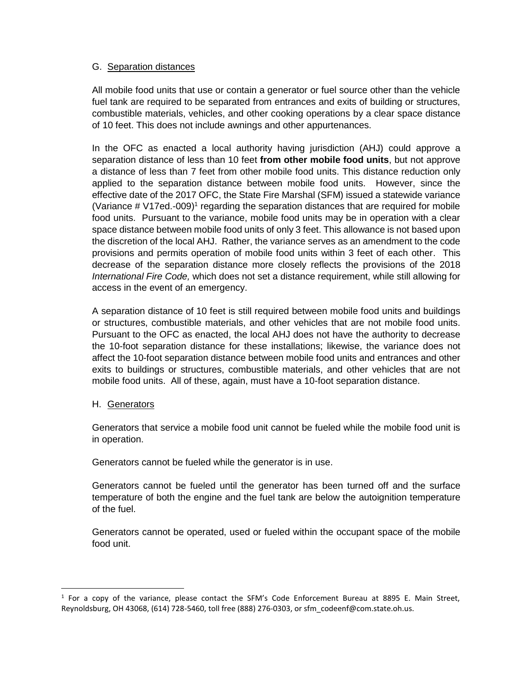#### G. Separation distances

All mobile food units that use or contain a generator or fuel source other than the vehicle fuel tank are required to be separated from entrances and exits of building or structures, combustible materials, vehicles, and other cooking operations by a clear space distance of 10 feet. This does not include awnings and other appurtenances.

In the OFC as enacted a local authority having jurisdiction (AHJ) could approve a separation distance of less than 10 feet **from other mobile food units**, but not approve a distance of less than 7 feet from other mobile food units. This distance reduction only applied to the separation distance between mobile food units. However, since the effective date of the 2017 OFC, the State Fire Marshal (SFM) issued a statewide variance (Variance  $\#$  V17ed.-009)<sup>1</sup> regarding the separation distances that are required for mobile food units. Pursuant to the variance, mobile food units may be in operation with a clear space distance between mobile food units of only 3 feet. This allowance is not based upon the discretion of the local AHJ. Rather, the variance serves as an amendment to the code provisions and permits operation of mobile food units within 3 feet of each other. This decrease of the separation distance more closely reflects the provisions of the 2018 *International Fire Code,* which does not set a distance requirement, while still allowing for access in the event of an emergency.

A separation distance of 10 feet is still required between mobile food units and buildings or structures, combustible materials, and other vehicles that are not mobile food units. Pursuant to the OFC as enacted, the local AHJ does not have the authority to decrease the 10-foot separation distance for these installations; likewise, the variance does not affect the 10-foot separation distance between mobile food units and entrances and other exits to buildings or structures, combustible materials, and other vehicles that are not mobile food units. All of these, again, must have a 10-foot separation distance.

## H. Generators

l

Generators that service a mobile food unit cannot be fueled while the mobile food unit is in operation.

Generators cannot be fueled while the generator is in use.

Generators cannot be fueled until the generator has been turned off and the surface temperature of both the engine and the fuel tank are below the autoignition temperature of the fuel.

Generators cannot be operated, used or fueled within the occupant space of the mobile food unit.

<sup>&</sup>lt;sup>1</sup> For a copy of the variance, please contact the SFM's Code Enforcement Bureau at 8895 E. Main Street, Reynoldsburg, OH 43068, (614) 728-5460, toll free (888) 276-0303, or sfm\_codeenf@com.state.oh.us.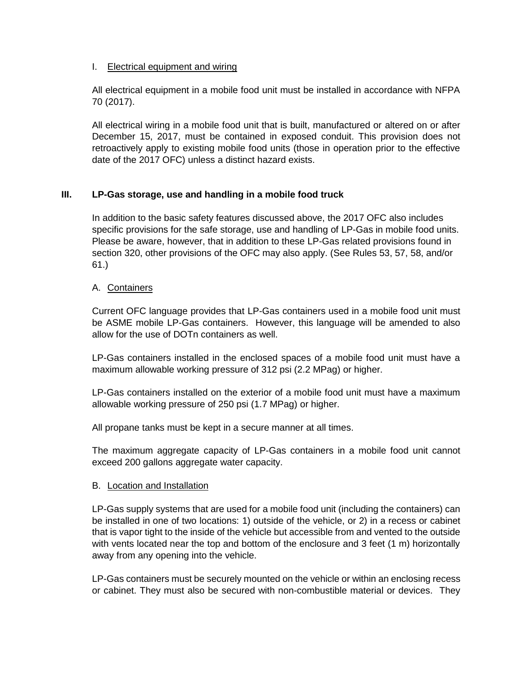## I. Electrical equipment and wiring

All electrical equipment in a mobile food unit must be installed in accordance with NFPA 70 (2017).

All electrical wiring in a mobile food unit that is built, manufactured or altered on or after December 15, 2017, must be contained in exposed conduit. This provision does not retroactively apply to existing mobile food units (those in operation prior to the effective date of the 2017 OFC) unless a distinct hazard exists.

## **III. LP-Gas storage, use and handling in a mobile food truck**

In addition to the basic safety features discussed above, the 2017 OFC also includes specific provisions for the safe storage, use and handling of LP-Gas in mobile food units. Please be aware, however, that in addition to these LP-Gas related provisions found in section 320, other provisions of the OFC may also apply. (See Rules 53, 57, 58, and/or 61.)

## A. Containers

Current OFC language provides that LP-Gas containers used in a mobile food unit must be ASME mobile LP-Gas containers. However, this language will be amended to also allow for the use of DOTn containers as well.

LP-Gas containers installed in the enclosed spaces of a mobile food unit must have a maximum allowable working pressure of 312 psi (2.2 MPag) or higher.

LP-Gas containers installed on the exterior of a mobile food unit must have a maximum allowable working pressure of 250 psi (1.7 MPag) or higher.

All propane tanks must be kept in a secure manner at all times.

The maximum aggregate capacity of LP-Gas containers in a mobile food unit cannot exceed 200 gallons aggregate water capacity.

## B. Location and Installation

LP-Gas supply systems that are used for a mobile food unit (including the containers) can be installed in one of two locations: 1) outside of the vehicle, or 2) in a recess or cabinet that is vapor tight to the inside of the vehicle but accessible from and vented to the outside with vents located near the top and bottom of the enclosure and 3 feet (1 m) horizontally away from any opening into the vehicle.

LP-Gas containers must be securely mounted on the vehicle or within an enclosing recess or cabinet. They must also be secured with non-combustible material or devices. They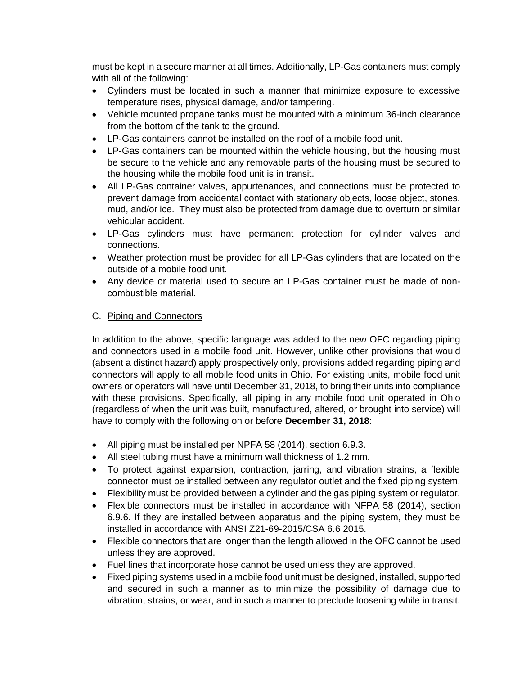must be kept in a secure manner at all times. Additionally, LP-Gas containers must comply with all of the following:

- Cylinders must be located in such a manner that minimize exposure to excessive temperature rises, physical damage, and/or tampering.
- Vehicle mounted propane tanks must be mounted with a minimum 36-inch clearance from the bottom of the tank to the ground.
- LP-Gas containers cannot be installed on the roof of a mobile food unit.
- LP-Gas containers can be mounted within the vehicle housing, but the housing must be secure to the vehicle and any removable parts of the housing must be secured to the housing while the mobile food unit is in transit.
- All LP-Gas container valves, appurtenances, and connections must be protected to prevent damage from accidental contact with stationary objects, loose object, stones, mud, and/or ice. They must also be protected from damage due to overturn or similar vehicular accident.
- LP-Gas cylinders must have permanent protection for cylinder valves and connections.
- Weather protection must be provided for all LP-Gas cylinders that are located on the outside of a mobile food unit.
- Any device or material used to secure an LP-Gas container must be made of noncombustible material.

# C. Piping and Connectors

In addition to the above, specific language was added to the new OFC regarding piping and connectors used in a mobile food unit. However, unlike other provisions that would (absent a distinct hazard) apply prospectively only, provisions added regarding piping and connectors will apply to all mobile food units in Ohio. For existing units, mobile food unit owners or operators will have until December 31, 2018, to bring their units into compliance with these provisions. Specifically, all piping in any mobile food unit operated in Ohio (regardless of when the unit was built, manufactured, altered, or brought into service) will have to comply with the following on or before **December 31, 2018**:

- All piping must be installed per NPFA 58 (2014), section 6.9.3.
- All steel tubing must have a minimum wall thickness of 1.2 mm.
- To protect against expansion, contraction, jarring, and vibration strains, a flexible connector must be installed between any regulator outlet and the fixed piping system.
- Flexibility must be provided between a cylinder and the gas piping system or regulator.
- Flexible connectors must be installed in accordance with NFPA 58 (2014), section 6.9.6. If they are installed between apparatus and the piping system, they must be installed in accordance with ANSI Z21-69-2015/CSA 6.6 2015.
- Flexible connectors that are longer than the length allowed in the OFC cannot be used unless they are approved.
- Fuel lines that incorporate hose cannot be used unless they are approved.
- Fixed piping systems used in a mobile food unit must be designed, installed, supported and secured in such a manner as to minimize the possibility of damage due to vibration, strains, or wear, and in such a manner to preclude loosening while in transit.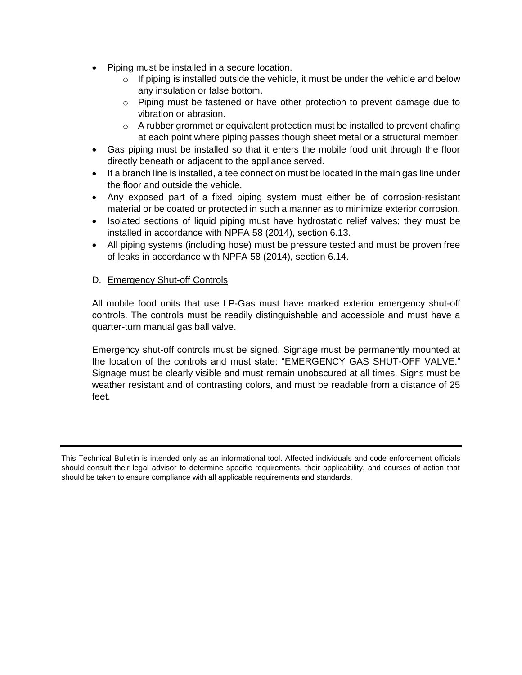- Piping must be installed in a secure location.
	- $\circ$  If piping is installed outside the vehicle, it must be under the vehicle and below any insulation or false bottom.
	- $\circ$  Piping must be fastened or have other protection to prevent damage due to vibration or abrasion.
	- $\circ$  A rubber grommet or equivalent protection must be installed to prevent chafing at each point where piping passes though sheet metal or a structural member.
- Gas piping must be installed so that it enters the mobile food unit through the floor directly beneath or adjacent to the appliance served.
- If a branch line is installed, a tee connection must be located in the main gas line under the floor and outside the vehicle.
- Any exposed part of a fixed piping system must either be of corrosion-resistant material or be coated or protected in such a manner as to minimize exterior corrosion.
- Isolated sections of liquid piping must have hydrostatic relief valves; they must be installed in accordance with NPFA 58 (2014), section 6.13.
- All piping systems (including hose) must be pressure tested and must be proven free of leaks in accordance with NPFA 58 (2014), section 6.14.

## D. Emergency Shut-off Controls

All mobile food units that use LP-Gas must have marked exterior emergency shut-off controls. The controls must be readily distinguishable and accessible and must have a quarter-turn manual gas ball valve.

Emergency shut-off controls must be signed. Signage must be permanently mounted at the location of the controls and must state: "EMERGENCY GAS SHUT-OFF VALVE." Signage must be clearly visible and must remain unobscured at all times. Signs must be weather resistant and of contrasting colors, and must be readable from a distance of 25 feet.

This Technical Bulletin is intended only as an informational tool. Affected individuals and code enforcement officials should consult their legal advisor to determine specific requirements, their applicability, and courses of action that should be taken to ensure compliance with all applicable requirements and standards.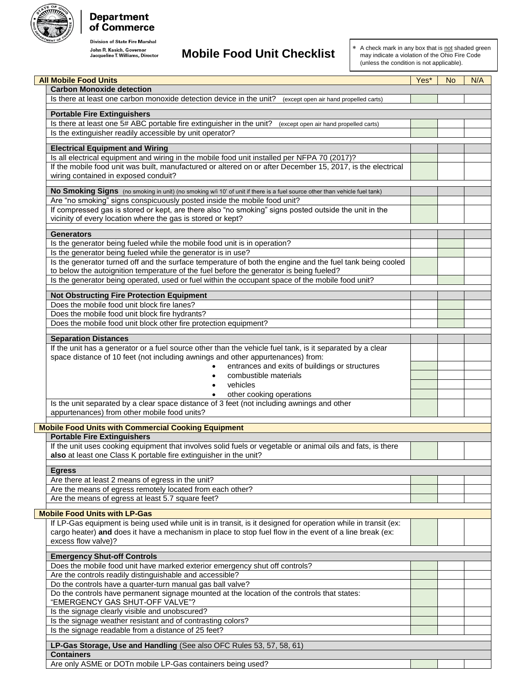

# **Department**<br>of Commerce

**Division of State Fire Marshal** 

# **John R. Kasich, Governor**<br>Jacqueline T. Williams, Director **Mobile Food Unit Checklist**

\* A check mark in any box that is not shaded green may indicate a violation of the Ohio Fire Code (unless the condition is not applicable).

| <b>All Mobile Food Units</b>                                                                                              | Yes* | <b>No</b> | N/A |
|---------------------------------------------------------------------------------------------------------------------------|------|-----------|-----|
| <b>Carbon Monoxide detection</b>                                                                                          |      |           |     |
| Is there at least one carbon monoxide detection device in the unit?<br>(except open air hand propelled carts)             |      |           |     |
| <b>Portable Fire Extinguishers</b>                                                                                        |      |           |     |
| Is there at least one 5# ABC portable fire extinguisher in the unit?<br>(except open air hand propelled carts)            |      |           |     |
| Is the extinguisher readily accessible by unit operator?                                                                  |      |           |     |
|                                                                                                                           |      |           |     |
| <b>Electrical Equipment and Wiring</b>                                                                                    |      |           |     |
| Is all electrical equipment and wiring in the mobile food unit installed per NFPA 70 (2017)?                              |      |           |     |
| If the mobile food unit was built, manufactured or altered on or after December 15, 2017, is the electrical               |      |           |     |
| wiring contained in exposed conduit?                                                                                      |      |           |     |
| No Smoking Signs (no smoking in unit) (no smoking w/i 10' of unit if there is a fuel source other than vehicle fuel tank) |      |           |     |
| Are "no smoking" signs conspicuously posted inside the mobile food unit?                                                  |      |           |     |
| If compressed gas is stored or kept, are there also "no smoking" signs posted outside the unit in the                     |      |           |     |
| vicinity of every location where the gas is stored or kept?                                                               |      |           |     |
| <b>Generators</b>                                                                                                         |      |           |     |
| Is the generator being fueled while the mobile food unit is in operation?                                                 |      |           |     |
| Is the generator being fueled while the generator is in use?                                                              |      |           |     |
| Is the generator turned off and the surface temperature of both the engine and the fuel tank being cooled                 |      |           |     |
| to below the autoignition temperature of the fuel before the generator is being fueled?                                   |      |           |     |
| Is the generator being operated, used or fuel within the occupant space of the mobile food unit?                          |      |           |     |
|                                                                                                                           |      |           |     |
| <b>Not Obstructing Fire Protection Equipment</b><br>Does the mobile food unit block fire lanes?                           |      |           |     |
| Does the mobile food unit block fire hydrants?                                                                            |      |           |     |
| Does the mobile food unit block other fire protection equipment?                                                          |      |           |     |
|                                                                                                                           |      |           |     |
| <b>Separation Distances</b>                                                                                               |      |           |     |
| If the unit has a generator or a fuel source other than the vehicle fuel tank, is it separated by a clear                 |      |           |     |
| space distance of 10 feet (not including awnings and other appurtenances) from:                                           |      |           |     |
| entrances and exits of buildings or structures                                                                            |      |           |     |
| combustible materials<br>vehicles                                                                                         |      |           |     |
| other cooking operations                                                                                                  |      |           |     |
| Is the unit separated by a clear space distance of 3 feet (not including awnings and other                                |      |           |     |
| appurtenances) from other mobile food units?                                                                              |      |           |     |
|                                                                                                                           |      |           |     |
| <b>Mobile Food Units with Commercial Cooking Equipment</b><br><b>Portable Fire Extinguishers</b>                          |      |           |     |
| If the unit uses cooking equipment that involves solid fuels or vegetable or animal oils and fats, is there               |      |           |     |
| also at least one Class K portable fire extinguisher in the unit?                                                         |      |           |     |
|                                                                                                                           |      |           |     |
| <b>Egress</b>                                                                                                             |      |           |     |
| Are there at least 2 means of egress in the unit?                                                                         |      |           |     |
| Are the means of egress remotely located from each other?<br>Are the means of egress at least 5.7 square feet?            |      |           |     |
|                                                                                                                           |      |           |     |
| <b>Mobile Food Units with LP-Gas</b>                                                                                      |      |           |     |
| If LP-Gas equipment is being used while unit is in transit, is it designed for operation while in transit (ex:            |      |           |     |
| cargo heater) and does it have a mechanism in place to stop fuel flow in the event of a line break (ex:                   |      |           |     |
| excess flow valve)?                                                                                                       |      |           |     |
| <b>Emergency Shut-off Controls</b>                                                                                        |      |           |     |
| Does the mobile food unit have marked exterior emergency shut off controls?                                               |      |           |     |
| Are the controls readily distinguishable and accessible?                                                                  |      |           |     |
| Do the controls have a quarter-turn manual gas ball valve?                                                                |      |           |     |
| Do the controls have permanent signage mounted at the location of the controls that states:                               |      |           |     |
| "EMERGENCY GAS SHUT-OFF VALVE"?<br>Is the signage clearly visible and unobscured?                                         |      |           |     |
| Is the signage weather resistant and of contrasting colors?                                                               |      |           |     |
| Is the signage readable from a distance of 25 feet?                                                                       |      |           |     |
|                                                                                                                           |      |           |     |
| LP-Gas Storage, Use and Handling (See also OFC Rules 53, 57, 58, 61)                                                      |      |           |     |
| <b>Containers</b>                                                                                                         |      |           |     |
| Are only ASME or DOTn mobile LP-Gas containers being used?                                                                |      |           |     |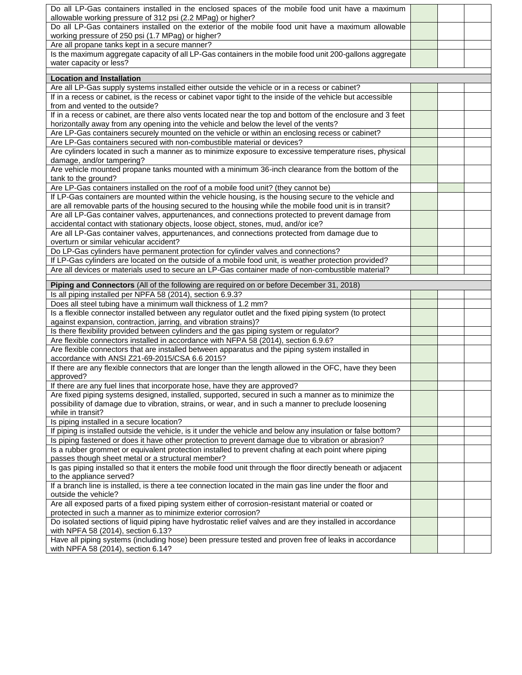| Do all LP-Gas containers installed in the enclosed spaces of the mobile food unit have a maximum<br>allowable working pressure of 312 psi (2.2 MPag) or higher?                        |  |  |
|----------------------------------------------------------------------------------------------------------------------------------------------------------------------------------------|--|--|
| Do all LP-Gas containers installed on the exterior of the mobile food unit have a maximum allowable                                                                                    |  |  |
| working pressure of 250 psi (1.7 MPag) or higher?                                                                                                                                      |  |  |
| Are all propane tanks kept in a secure manner?                                                                                                                                         |  |  |
| Is the maximum aggregate capacity of all LP-Gas containers in the mobile food unit 200-gallons aggregate                                                                               |  |  |
| water capacity or less?                                                                                                                                                                |  |  |
| <b>Location and Installation</b>                                                                                                                                                       |  |  |
| Are all LP-Gas supply systems installed either outside the vehicle or in a recess or cabinet?                                                                                          |  |  |
| If in a recess or cabinet, is the recess or cabinet vapor tight to the inside of the vehicle but accessible                                                                            |  |  |
| from and vented to the outside?                                                                                                                                                        |  |  |
| If in a recess or cabinet, are there also vents located near the top and bottom of the enclosure and 3 feet                                                                            |  |  |
| horizontally away from any opening into the vehicle and below the level of the vents?                                                                                                  |  |  |
| Are LP-Gas containers securely mounted on the vehicle or within an enclosing recess or cabinet?                                                                                        |  |  |
| Are LP-Gas containers secured with non-combustible material or devices?                                                                                                                |  |  |
| Are cylinders located in such a manner as to minimize exposure to excessive temperature rises, physical                                                                                |  |  |
| damage, and/or tampering?                                                                                                                                                              |  |  |
| Are vehicle mounted propane tanks mounted with a minimum 36-inch clearance from the bottom of the                                                                                      |  |  |
| tank to the ground?                                                                                                                                                                    |  |  |
| Are LP-Gas containers installed on the roof of a mobile food unit? (they cannot be)                                                                                                    |  |  |
| If LP-Gas containers are mounted within the vehicle housing, is the housing secure to the vehicle and                                                                                  |  |  |
| are all removable parts of the housing secured to the housing while the mobile food unit is in transit?                                                                                |  |  |
| Are all LP-Gas container valves, appurtenances, and connections protected to prevent damage from<br>accidental contact with stationary objects, loose object, stones, mud, and/or ice? |  |  |
| Are all LP-Gas container valves, appurtenances, and connections protected from damage due to                                                                                           |  |  |
| overturn or similar vehicular accident?                                                                                                                                                |  |  |
| Do LP-Gas cylinders have permanent protection for cylinder valves and connections?                                                                                                     |  |  |
| If LP-Gas cylinders are located on the outside of a mobile food unit, is weather protection provided?                                                                                  |  |  |
| Are all devices or materials used to secure an LP-Gas container made of non-combustible material?                                                                                      |  |  |
|                                                                                                                                                                                        |  |  |
|                                                                                                                                                                                        |  |  |
| Piping and Connectors (All of the following are required on or before December 31, 2018)                                                                                               |  |  |
| Is all piping installed per NPFA 58 (2014), section 6.9.3?                                                                                                                             |  |  |
| Does all steel tubing have a minimum wall thickness of 1.2 mm?                                                                                                                         |  |  |
| Is a flexible connector installed between any regulator outlet and the fixed piping system (to protect                                                                                 |  |  |
| against expansion, contraction, jarring, and vibration strains)?<br>Is there flexibility provided between cylinders and the gas piping system or regulator?                            |  |  |
| Are flexible connectors installed in accordance with NFPA 58 (2014), section 6.9.6?                                                                                                    |  |  |
| Are flexible connectors that are installed between apparatus and the piping system installed in                                                                                        |  |  |
| accordance with ANSI Z21-69-2015/CSA 6.6 2015?                                                                                                                                         |  |  |
| If there are any flexible connectors that are longer than the length allowed in the OFC, have they been                                                                                |  |  |
| approved?                                                                                                                                                                              |  |  |
| If there are any fuel lines that incorporate hose, have they are approved?                                                                                                             |  |  |
| Are fixed piping systems designed, installed, supported, secured in such a manner as to minimize the                                                                                   |  |  |
| possibility of damage due to vibration, strains, or wear, and in such a manner to preclude loosening                                                                                   |  |  |
| while in transit?                                                                                                                                                                      |  |  |
| Is piping installed in a secure location?                                                                                                                                              |  |  |
| If piping is installed outside the vehicle, is it under the vehicle and below any insulation or false bottom?                                                                          |  |  |
| Is piping fastened or does it have other protection to prevent damage due to vibration or abrasion?                                                                                    |  |  |
| Is a rubber grommet or equivalent protection installed to prevent chafing at each point where piping                                                                                   |  |  |
| passes though sheet metal or a structural member?                                                                                                                                      |  |  |
| Is gas piping installed so that it enters the mobile food unit through the floor directly beneath or adjacent<br>to the appliance served?                                              |  |  |
| If a branch line is installed, is there a tee connection located in the main gas line under the floor and                                                                              |  |  |
| outside the vehicle?<br>Are all exposed parts of a fixed piping system either of corrosion-resistant material or coated or                                                             |  |  |
| protected in such a manner as to minimize exterior corrosion?                                                                                                                          |  |  |
| Do isolated sections of liquid piping have hydrostatic relief valves and are they installed in accordance                                                                              |  |  |
| with NPFA 58 (2014), section 6.13?<br>Have all piping systems (including hose) been pressure tested and proven free of leaks in accordance                                             |  |  |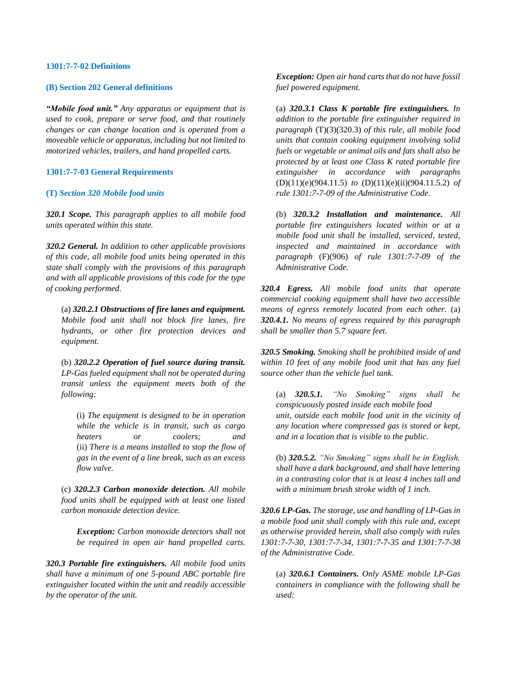#### **1301:7-7-02 Definitions**

#### **(B) Section 202 General definitions**

*"Mobile food unit." Any apparatus or equipment that is used to cook, prepare or serve food, and that routinely changes or can change location and is operated from a moveable vehicle or apparatus, including but not limited to motorized vehicles, trailers, and hand propelled carts.*

#### **1301:7-7-03 General Requirements**

#### **(T)** *Section 320 Mobile food units*

*320.1 Scope. This paragraph applies to all mobile food units operated within this state.*

*320.2 General. In addition to other applicable provisions of this code, all mobile food units being operated in this state shall comply with the provisions of this paragraph and with all applicable provisions of this code for the type of cooking performed.*

(a) *320.2.1 Obstructions of fire lanes and equipment. Mobile food unit shall not block fire lanes, fire hydrants, or other fire protection devices and equipment.*

(b) *320.2.2 Operation of fuel source during transit. LP-Gas fueled equipment shall not be operated during transit unless the equipment meets both of the following:*

(i) *The equipment is designed to be in operation while the vehicle is in transit, such as cargo heaters or coolers; and* (ii) *There is a means installed to stop the flow of gas in the event of a line break, such as an excess flow valve.*

(c) *320.2.3 Carbon monoxide detection. All mobile food units shall be equipped with at least one listed carbon monoxide detection device.*

*Exception: Carbon monoxide detectors shall not be required in open air hand propelled carts.*

*320.3 Portable fire extinguishers. All mobile food units shall have a minimum of one 5-pound ABC portable fire extinguisher located within the unit and readily accessible by the operator of the unit.*

*Exception: Open air hand carts that do not have fossil fuel powered equipment.*

(a) *320.3.1 Class K portable fire extinguishers. In addition to the portable fire extinguisher required in paragraph* (T)(3)(320.3) *of this rule, all mobile food units that contain cooking equipment involving solid fuels or vegetable or animal oils and fats shall also be protected by at least one Class K rated portable fire extinguisher in accordance with paragraphs*  (D)(11)(e)(904.11.5) *to* (D)(11)(e)(ii)(904.11.5.2) *of rule 1301:7-7-09 of the Administrative Code*.

(b) *320.3.2 Installation and maintenance. All portable fire extinguishers located within or at a mobile food unit shall be installed, serviced, tested, inspected and maintained in accordance with paragraph* (F)(906) *of rule 1301:7-7-09 of the Administrative Code.*

*320.4 Egress. All mobile food units that operate commercial cooking equipment shall have two accessible means of egress remotely located from each other.* (a) *320.4.1. No means of egress required by this paragraph shall be smaller than 5.7 square feet.*

*320.5 Smoking. Smoking shall be prohibited inside of and within 10 feet of any mobile food unit that has any fuel source other than the vehicle fuel tank.*

(a) *320.5.1. "No Smoking" signs shall be conspicuously posted inside each mobile food unit, outside each mobile food unit in the vicinity of any location where compressed gas is stored or kept, and in a location that is visible to the public.*

(b) *320.5.2. "No Smoking" signs shall be in English, shall have a dark background, and shall have lettering in a contrasting color that is at least 4 inches tall and with a minimum brush stroke width of 1 inch.*

*320.6 LP-Gas. The storage, use and handling of LP-Gas in a mobile food unit shall comply with this rule and, except as otherwise provided herein, shall also comply with rules 1301:7-7-30, 1301:7-7-34, 1301:7-7-35 and 1301:7-7-38 of the Administrative Code.*

(a) *320.6.1 Containers. Only ASME mobile LP-Gas containers in compliance with the following shall be used:*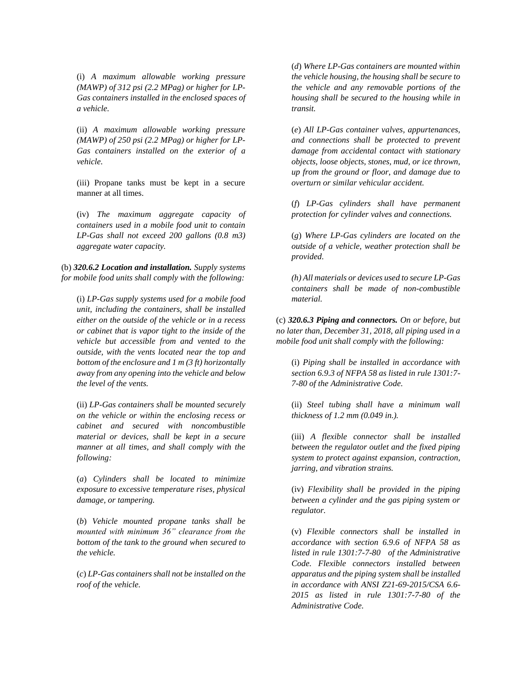(i) *A maximum allowable working pressure (MAWP) of 312 psi (2.2 MPag) or higher for LP-Gas containers installed in the enclosed spaces of a vehicle.*

(ii) *A maximum allowable working pressure (MAWP) of 250 psi (2.2 MPag) or higher for LP-Gas containers installed on the exterior of a vehicle.*

(iii) Propane tanks must be kept in a secure manner at all times.

(iv) *The maximum aggregate capacity of containers used in a mobile food unit to contain LP-Gas shall not exceed 200 gallons (0.8 m3) aggregate water capacity.*

(b) *320.6.2 Location and installation. Supply systems for mobile food units shall comply with the following:*

(i) *LP-Gas supply systems used for a mobile food unit, including the containers, shall be installed either on the outside of the vehicle or in a recess or cabinet that is vapor tight to the inside of the vehicle but accessible from and vented to the outside, with the vents located near the top and bottom of the enclosure and 1 m (3 ft) horizontally away from any opening into the vehicle and below the level of the vents.*

(ii) *LP-Gas containers shall be mounted securely on the vehicle or within the enclosing recess or cabinet and secured with noncombustible material or devices, shall be kept in a secure manner at all times, and shall comply with the following:*

(*a*) *Cylinders shall be located to minimize exposure to excessive temperature rises, physical damage, or tampering.*

(*b*) *Vehicle mounted propane tanks shall be mounted with minimum 36" clearance from the bottom of the tank to the ground when secured to the vehicle.*

(*c*) *LP-Gas containers shall not be installed on the roof of the vehicle.*

(*d*) *Where LP-Gas containers are mounted within the vehicle housing, the housing shall be secure to the vehicle and any removable portions of the housing shall be secured to the housing while in transit.*

(*e*) *All LP-Gas container valves, appurtenances, and connections shall be protected to prevent damage from accidental contact with stationary objects, loose objects, stones, mud, or ice thrown, up from the ground or floor, and damage due to overturn or similar vehicular accident.*

(*f*) *LP-Gas cylinders shall have permanent protection for cylinder valves and connections.*

(*g*) *Where LP-Gas cylinders are located on the outside of a vehicle, weather protection shall be provided.*

*(h) All materials or devices used to secure LP-Gas containers shall be made of non-combustible material.*

(c) *320.6.3 Piping and connectors. On or before, but no later than, December 31, 2018, all piping used in a mobile food unit shall comply with the following:*

(i) *Piping shall be installed in accordance with section 6.9.3 of NFPA 58 as listed in rule 1301:7- 7-80 of the Administrative Code.*

(ii) *Steel tubing shall have a minimum wall thickness of 1.2 mm (0.049 in.).*

(iii) *A flexible connector shall be installed between the regulator outlet and the fixed piping system to protect against expansion, contraction, jarring, and vibration strains.*

(iv) *Flexibility shall be provided in the piping between a cylinder and the gas piping system or regulator.*

(v) *Flexible connectors shall be installed in accordance with section 6.9.6 of NFPA 58 as listed in rule 1301:7-7-80 of the Administrative Code. Flexible connectors installed between apparatus and the piping system shall be installed in accordance with ANSI Z21-69-2015/CSA 6.6- 2015 as listed in rule 1301:7-7-80 of the Administrative Code.*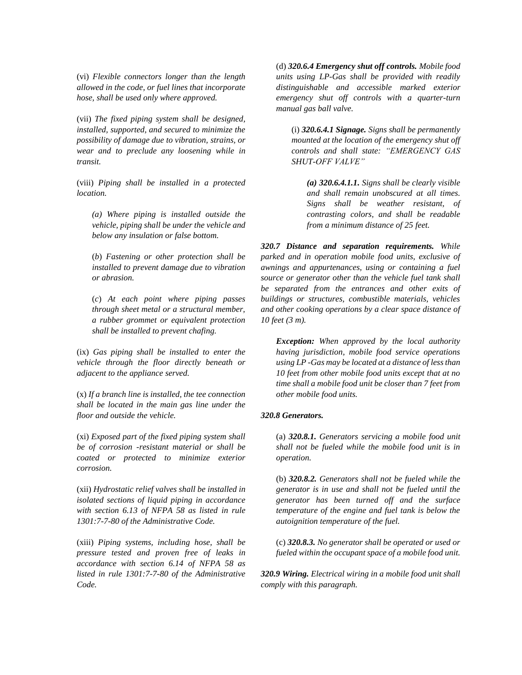(vi) *Flexible connectors longer than the length allowed in the code, or fuel lines that incorporate hose, shall be used only where approved.*

(vii) *The fixed piping system shall be designed, installed, supported, and secured to minimize the possibility of damage due to vibration, strains, or wear and to preclude any loosening while in transit.*

(viii) *Piping shall be installed in a protected location.*

*(a) Where piping is installed outside the vehicle, piping shall be under the vehicle and below any insulation or false bottom.*

(*b*) *Fastening or other protection shall be installed to prevent damage due to vibration or abrasion.*

(*c*) *At each point where piping passes through sheet metal or a structural member, a rubber grommet or equivalent protection shall be installed to prevent chafing.*

(ix) *Gas piping shall be installed to enter the vehicle through the floor directly beneath or adjacent to the appliance served.*

(x) *If a branch line is installed, the tee connection shall be located in the main gas line under the floor and outside the vehicle.*

(xi) *Exposed part of the fixed piping system shall be of corrosion -resistant material or shall be coated or protected to minimize exterior corrosion.*

(xii) *Hydrostatic relief valves shall be installed in isolated sections of liquid piping in accordance with section 6.13 of NFPA 58 as listed in rule 1301:7-7-80 of the Administrative Code.*

(xiii) *Piping systems, including hose, shall be pressure tested and proven free of leaks in accordance with section 6.14 of NFPA 58 as listed in rule 1301:7-7-80 of the Administrative Code.*

(d) *320.6.4 Emergency shut off controls. Mobile food units using LP-Gas shall be provided with readily distinguishable and accessible marked exterior emergency shut off controls with a quarter-turn manual gas ball valve.*

(i) *320.6.4.1 Signage. Signs shall be permanently mounted at the location of the emergency shut off controls and shall state: "EMERGENCY GAS SHUT-OFF VALVE"*

*(a) 320.6.4.1.1. Signs shall be clearly visible and shall remain unobscured at all times. Signs shall be weather resistant, of contrasting colors, and shall be readable from a minimum distance of 25 feet.*

*320.7 Distance and separation requirements. While parked and in operation mobile food units, exclusive of awnings and appurtenances, using or containing a fuel source or generator other than the vehicle fuel tank shall be separated from the entrances and other exits of buildings or structures, combustible materials, vehicles and other cooking operations by a clear space distance of 10 feet (3 m).*

*Exception: When approved by the local authority having jurisdiction, mobile food service operations using LP -Gas may be located at a distance of less than 10 feet from other mobile food units except that at no time shall a mobile food unit be closer than 7 feet from other mobile food units.*

#### *320.8 Generators.*

(a) *320.8.1. Generators servicing a mobile food unit shall not be fueled while the mobile food unit is in operation.*

(b) *320.8.2. Generators shall not be fueled while the generator is in use and shall not be fueled until the generator has been turned off and the surface temperature of the engine and fuel tank is below the autoignition temperature of the fuel.*

(c) *320.8.3. No generator shall be operated or used or fueled within the occupant space of a mobile food unit.*

*320.9 Wiring. Electrical wiring in a mobile food unit shall comply with this paragraph.*